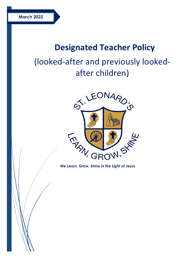# **Designated Teacher Policy**

# (looked-after and previously lookedafter children)



*We Learn, Grow, Shine in the Light of Jesus*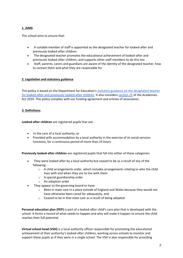# **1. AIMS**

The school aims to ensure that:

- A suitable member of staff is appointed as the designated teacher for looked-after and previously looked-after children
- The designated teacher promotes the educational achievement of looked-after and previously looked-after children, and supports other staff members to do this too
- Staff, parents, carers and guardians are aware of the identity of the designated teacher, how to contact them and what they are responsible for

#### **2. Legislation and statutory guidance**

This policy is based on the Department for Education's [statutory guidance on the designated teacher](https://www.gov.uk/government/publications/designated-teacher-for-looked-after-children)  [for looked-after and previously looked-after children.](https://www.gov.uk/government/publications/designated-teacher-for-looked-after-children) It also considers [section 2E](http://www.legislation.gov.uk/ukpga/2010/32/section/2E) of the Academies Act 2010. This policy complies with our funding agreement and articles of association.

## **3. Definitions**

**Looked-after children** are registered pupils that are:

- In the care of a local authority, or
- Provided with accommodation by a local authority in the exercise of its social services functions, for a continuous period of more than 24 hours

**Previously looked-after children** are registered pupils that fall into either of these categories:

- They were looked after by a local authority but ceased to be as a result of any of the following:
	- $\circ$  A child arrangements order, which includes arrangements relating to who the child lives with and when they are to live with them
	- o A special guardianship order
	- o An adoption order
- They appear to the governing board to have:
	- $\circ$  Been in state care in a place outside of England and Wales because they would not have otherwise been cared for adequately, and
	- o Ceased to be in that state care as a result of being adopted

**Personal education plan (PEP)** is part of a looked-after child's care plan that is developed with the school. It forms a record of what needs to happen and who will make it happen to ensure the child reaches their full potential.

**Virtual school head (VSH)** is a local authority officer responsible for promoting the educational achievement of their authority's looked-after children, working across schools to monitor and support these pupils as if they were in a single school. The VSH is also responsible for providing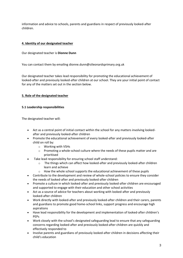information and advice to schools, parents and guardians in respect of previously looked-after children.

## **4. Identity of our designated teacher**

Our designated teacher is **Dionne Dunn**

You can contact them by emailing dionne.dunn@stleonardsprimary.org.uk

Our designated teacher takes lead responsibility for promoting the educational achievement of looked-after and previously looked-after children at our school. They are your initial point of contact for any of the matters set out in the section below.

## **5. Role of the designated teacher**

#### **5.1 Leadership responsibilities**

The designated teacher will:

- Act as a central point of initial contact within the school for any matters involving lookedafter and previously looked-after children
- Promote the educational achievement of every looked-after and previously looked-after child on roll by:
	- o Working with VSHs
	- $\circ$  Promoting a whole-school culture where the needs of these pupils matter and are prioritised
- Take lead responsibility for ensuring school staff understand:
	- $\circ$  The things which can affect how looked-after and previously looked-after children learn and achieve
	- o How the whole school supports the educational achievement of these pupils
- Contribute to the development and review of whole-school policies to ensure they consider the needs of looked-after and previously looked-after children
- Promote a culture in which looked-after and previously looked-after children are encouraged and supported to engage with their education and other school activities
- Act as a source of advice for teachers about working with looked-after and previously looked-after children
- Work directly with looked-after and previously looked-after children and their carers, parents and guardians to promote good home-school links, support progress and encourage high aspirations
- Have lead responsibility for the development and implementation of looked-after children's PEPs
- Work closely with the school's designated safeguarding lead to ensure that any safeguarding concerns regarding looked-after and previously looked-after children are quickly and effectively responded to
- Involve parents and guardians of previously looked-after children in decisions affecting their child's education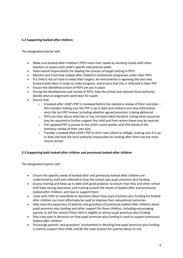# **5.2 Supporting looked-after children**

The designated teacher will:

- Make sure looked-after children's PEPs meet their needs by working closely with other teachers to assess each child's specific educational needs
- Have overall responsibility for leading the process of target-setting in PEPs
- Monitor and track how looked-after children's attainment progresses under their PEPs
- If a child is not on track to meet their targets, be instrumental in agreeing the best way forward with them in order to make progress, and ensure that this is reflected in their PEP
- Ensure the identified actions of PEPs are put in place
- During the development and review of PEPs, help the school and relevant local authority decide what arrangements work best for pupils
- Ensure that:
	- $\circ$  A looked-after child's PEP is reviewed before the statutory review of their care plan this includes making sure the PEP is up to date and contains any new information since the last PEP review, including whether agreed provision is being delivered
	- $\circ$  PEPs are clear about what has or has not been taken forward, noting what resources may be required to further support the child and from where these may be sourced
	- o The updated PEP is passed to the child's social worker and VSH ahead of the statutory review of their care plan
	- $\circ$  Transfer a looked-after child's PEP to their next school or college, making sure it is up to date and that the local authority responsible for looking after them has the most recent version

#### **5.3 Supporting both looked-after children and previously looked-after children**

The designated teacher will:

- Ensure the specific needs of looked-after and previously looked-after children are understood by staff and reflected in how the school uses pupil premium plus funding
- Access training and keep up to date with good practice, to ensure that they and other school staff have strong awareness and training around the needs of looked-after and previously looked-after children, and how to support them
- Liaise with VSHs to contribute to decisions about how pupil premium plus funding for lookedafter children can most effectively be used to improve their educational outcomes
- Help raise the awareness of parents and guardians of previously looked-after children about pupil premium plus funding and other support for these children, including encouraging parents to tell the school if their child is eligible to attract pupil premium plus funding
- Play a key part in decisions on how pupil premium plus funding is used to support previously looked-after children
- Encourage parents' and guardians' involvement in deciding how pupil premium plus funding is used to support their child, and be the main contact for queries about its use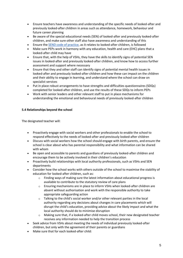- Ensure teachers have awareness and understanding of the specific needs of looked-after and previously looked-after children in areas such as attendance, homework, behaviour and future career planning
- Be aware of the special educational needs (SEN) of looked-after and previously looked-after children, and make sure other staff also have awareness and understanding of this
- Ensure the [SEND code of practice,](https://www.gov.uk/government/publications/send-code-of-practice-0-to-25) as it relates to looked-after children, is followed
- Make sure PEPs work in harmony with any education, health and care (EHC) plans that a looked-after child may have
- Ensure that, with the help of VSHs, they have the skills to identify signs of potential SEN issues in looked-after and previously looked-after children, and know how to access further assessment and support where necessary
- Ensure that they and other staff can identify signs of potential mental health issues in looked-after and previously looked-after children and how these can impact on the children and their ability to engage in learning, and understand where the school can draw on specialist services
- Put in place robust arrangements to have strengths and difficulties questionnaires (SDQs) completed for looked-after children, and use the results of these SDQs to inform PEPs
- Work with senior leaders and other relevant staff to put in place mechanisms for understanding the emotional and behavioural needs of previously looked-after children

## **5.4 Relationships beyond the school**

The designated teacher will:

- Proactively engage with social workers and other professionals to enable the school to respond effectively to the needs of looked-after and previously looked-after children
- Discuss with social workers how the school should engage with birth parents, and ensure the school is clear about who has parental responsibility and what information can be shared with whom
- Be open and accessible to parents and guardians of previously looked-after children and encourage them to be actively involved in their children's education
- Proactively build relationships with local authority professionals, such as VSHs and SEN departments
- Consider how the school works with others outside of the school to maximise the stability of education for looked-after children, such as:
	- o Finding ways of making sure the latest information about educational progress is available to contribute to the statutory review of care plans
	- $\circ$  Ensuring mechanisms are in place to inform VSHs when looked-after children are absent without authorisation and work with the responsible authority to take appropriate safeguarding action
	- $\circ$  Talking to the child's social worker and/or other relevant parties in the local authority regarding any decisions about changes in care placements which will disrupt the child's education, providing advice about the likely impact and what the local authority should do to minimise disruption
	- $\circ$  Making sure that, if a looked-after child moves school, their new designated teacher receives any information needed to help the transition process
- Seek advice from VSHs about meeting the needs of individual previously looked-after children, but only with the agreement of their parents or guardians
- Make sure that for each looked-after child: